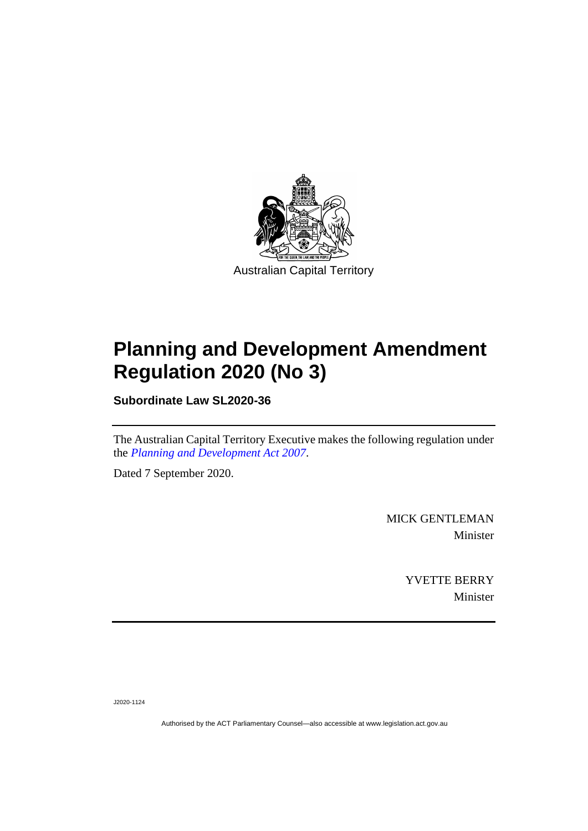

# **Planning and Development Amendment Regulation 2020 (No 3)**

**Subordinate Law SL2020-36**

The Australian Capital Territory Executive makes the following regulation under the *[Planning and Development Act 2007](http://www.legislation.act.gov.au/a/2007-24)*.

Dated 7 September 2020.

MICK GENTLEMAN Minister

> YVETTE BERRY Minister

J2020-1124

Authorised by the ACT Parliamentary Counsel—also accessible at www.legislation.act.gov.au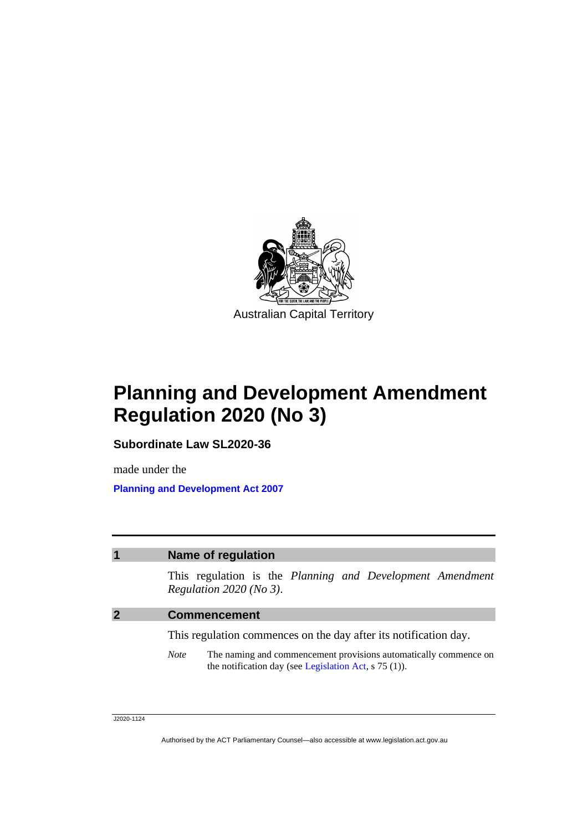

## **Planning and Development Amendment Regulation 2020 (No 3)**

**Subordinate Law SL2020-36**

made under the **[Planning and Development Act 2007](http://www.legislation.act.gov.au/a/2007-24)**

### **1 Name of regulation**

This regulation is the *Planning and Development Amendment Regulation 2020 (No 3)*.

#### **2 Commencement**

This regulation commences on the day after its notification day.

*Note* The naming and commencement provisions automatically commence on the notification day (see [Legislation Act,](http://www.legislation.act.gov.au/a/2001-14) s 75 (1)).

J2020-1124

Authorised by the ACT Parliamentary Counsel—also accessible at www.legislation.act.gov.au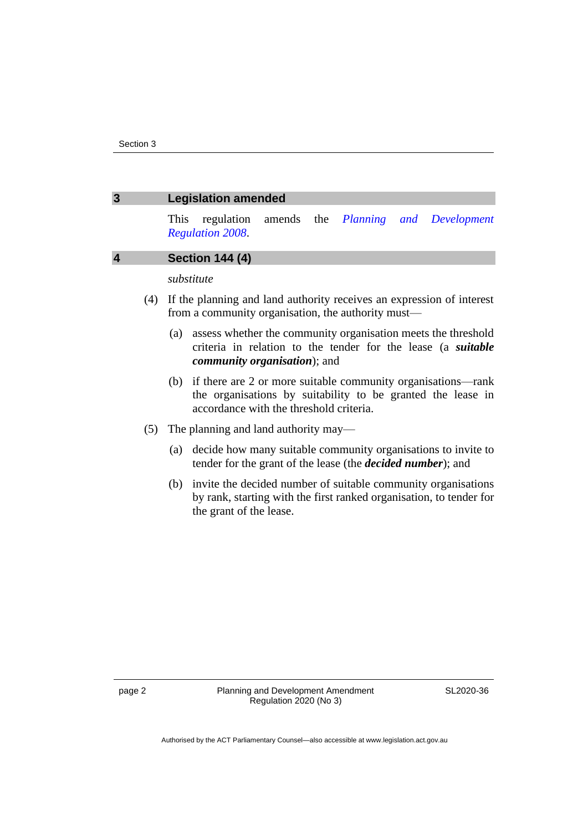| 3                       | <b>Legislation amended</b>                                                                                                                                                  |
|-------------------------|-----------------------------------------------------------------------------------------------------------------------------------------------------------------------------|
|                         | regulation amends the <i>Planning and</i><br>Development<br><b>This</b><br><b>Regulation 2008.</b>                                                                          |
| $\overline{\mathbf{4}}$ | <b>Section 144 (4)</b>                                                                                                                                                      |
|                         | substitute                                                                                                                                                                  |
| (4)                     | If the planning and land authority receives an expression of interest<br>from a community organisation, the authority must—                                                 |
|                         | assess whether the community organisation meets the threshold<br>(a)<br>criteria in relation to the tender for the lease (a <i>suitable</i><br>community organisation); and |
|                         | (b) if there are 2 or more suitable community organisations—rank<br>the organisations by suitability to be granted the lease in<br>accordance with the threshold criteria.  |
| (5)                     | The planning and land authority may—                                                                                                                                        |
|                         | decide how many suitable community organisations to invite to<br>(a)<br>tender for the grant of the lease (the <i>decided number</i> ); and                                 |
|                         | invite the decided number of suitable community organisations<br>(b)<br>by rank, starting with the first ranked organisation, to tender for<br>the grant of the lease.      |

SL2020-36